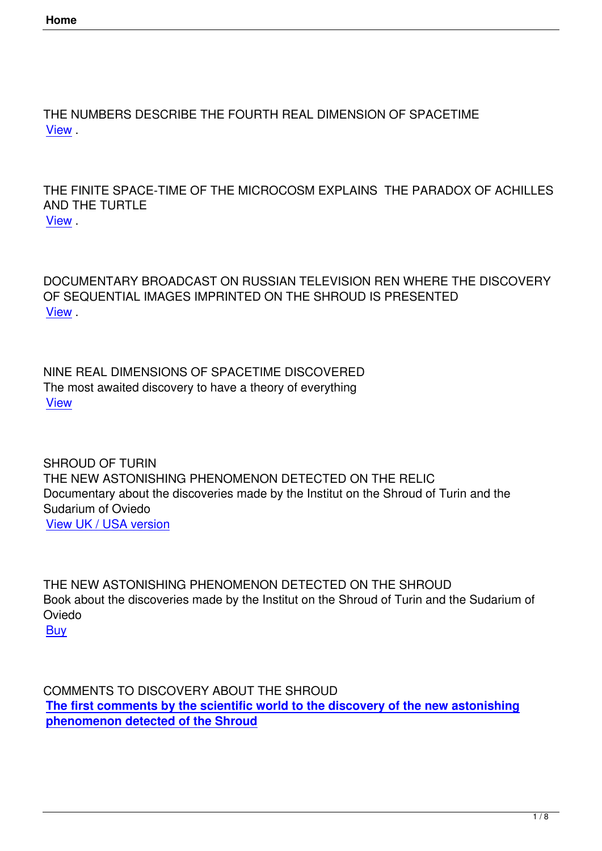## THE NUMBERS DESCRIBE THE FOURTH REAL DIMENSION OF SPACETIME View .

[THE F](index.php?option=com_content&view=article&id=119&Itemid=56&lang=en)INITE SPACE-TIME OF THE MICROCOSM EXPLAINS THE PARADOX OF ACHILLES AND THE TURTLE View .

[DOCU](index.php?option=com_content&view=article&id=120&Itemid=56&lang=en)MENTARY BROADCAST ON RUSSIAN TELEVISION REN WHERE THE DISCOVERY OF SEQUENTIAL IMAGES IMPRINTED ON THE SHROUD IS PRESENTED View .

[NINE](https://www.youtube.com/watch?v=jVRXVfCkdio&feature=youtu.be) REAL DIMENSIONS OF SPACETIME DISCOVERED The most awaited discovery to have a theory of everything View

[SHRO](index.php?option=com_content&view=article&id=121&Itemid=56&lang=en)UD OF TURIN THE NEW ASTONISHING PHENOMENON DETECTED ON THE RELIC Documentary about the discoveries made by the Institut on the Shroud of Turin and the Sudarium of Oviedo View UK / USA version

[THE NEW ASTONISHIN](index.php?option=com_content&view=article&id=73&Itemid=56&lang=en)G PHENOMENON DETECTED ON THE SHROUD Book about the discoveries made by the Institut on the Shroud of Turin and the Sudarium of Oviedo **Buy** 

[COM](https://www.amazon.it/dp/B07DKGB6TD)MENTS TO DISCOVERY ABOUT THE SHROUD **The first comments by the scientific world to the discovery of the new astonishing phenomenon detected of the Shroud**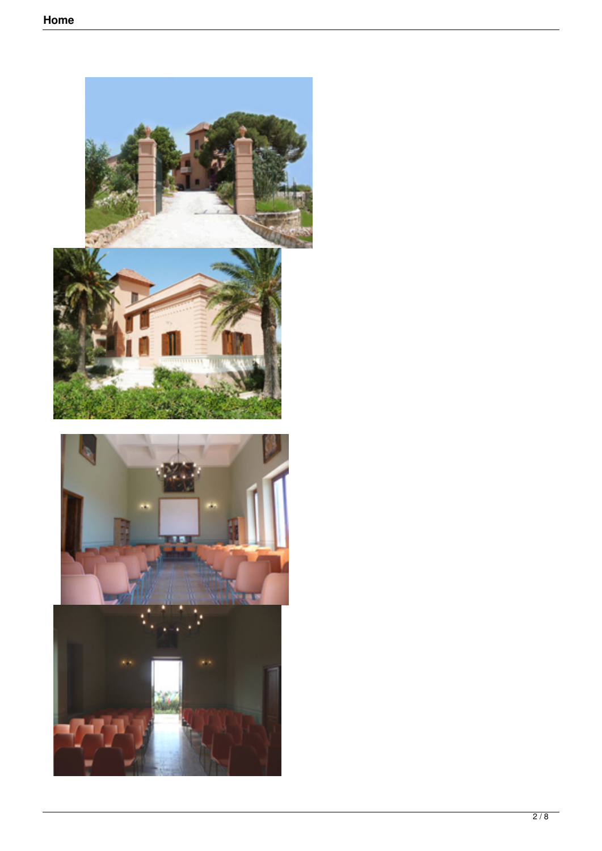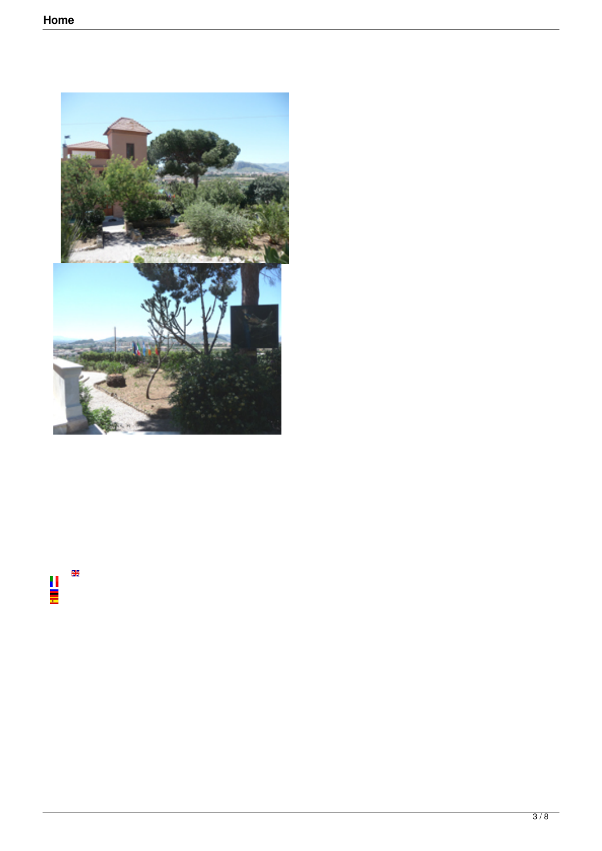



 $3/8$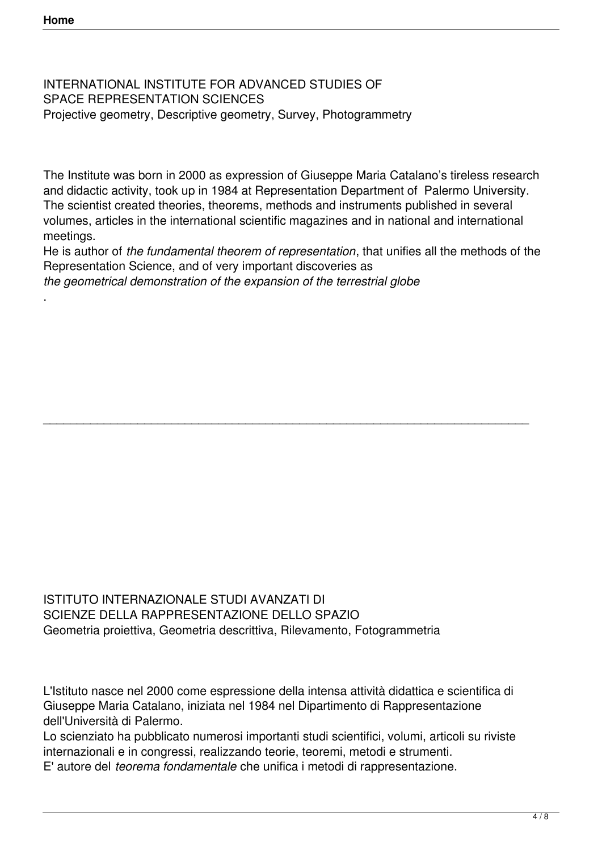.

INTERNATIONAL INSTITUTE FOR ADVANCED STUDIES OF SPACE REPRESENTATION SCIENCES Projective geometry, Descriptive geometry, Survey, Photogrammetry

The Institute was born in 2000 as expression of Giuseppe Maria Catalano's tireless research and didactic activity, took up in 1984 at Representation Department of Palermo University. The scientist created theories, theorems, methods and instruments published in several volumes, articles in the international scientific magazines and in national and international meetings.

He is author of *the fundamental theorem of representation*, that unifies all the methods of the Representation Science, and of very important discoveries as *the geometrical demonstration of the expansion of the terrestrial globe*

\_\_\_\_\_\_\_\_\_\_\_\_\_\_\_\_\_\_\_\_\_\_\_\_\_\_\_\_\_\_\_\_\_\_\_\_\_\_\_\_\_\_\_\_\_\_\_\_\_\_\_\_\_\_\_\_\_\_\_\_\_\_\_\_\_\_\_\_\_\_\_\_

ISTITUTO INTERNAZIONALE STUDI AVANZATI DI SCIENZE DELLA RAPPRESENTAZIONE DELLO SPAZIO Geometria proiettiva, Geometria descrittiva, Rilevamento, Fotogrammetria

L'Istituto nasce nel 2000 come espressione della intensa attività didattica e scientifica di Giuseppe Maria Catalano, iniziata nel 1984 nel Dipartimento di Rappresentazione dell'Università di Palermo.

Lo scienziato ha pubblicato numerosi importanti studi scientifici, volumi, articoli su riviste internazionali e in congressi, realizzando teorie, teoremi, metodi e strumenti.

E' autore del *teorema fondamentale* che unifica i metodi di rappresentazione.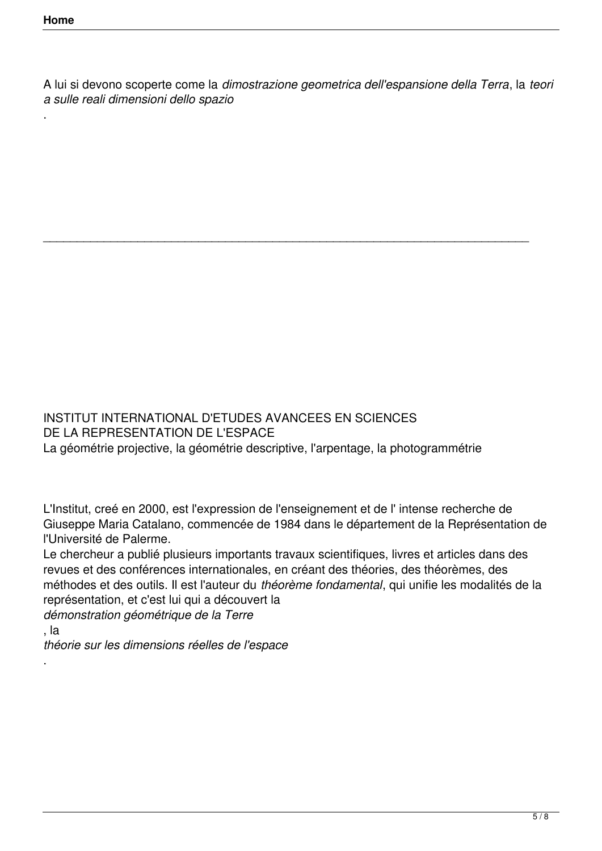.

A lui si devono scoperte come la *dimostrazione geometrica dell'espansione della Terra*, la *teori a sulle reali dimensioni dello spazio*

\_\_\_\_\_\_\_\_\_\_\_\_\_\_\_\_\_\_\_\_\_\_\_\_\_\_\_\_\_\_\_\_\_\_\_\_\_\_\_\_\_\_\_\_\_\_\_\_\_\_\_\_\_\_\_\_\_\_\_\_\_\_\_\_\_\_\_\_\_\_\_\_

INSTITUT INTERNATIONAL D'ETUDES AVANCEES EN SCIENCES DE LA REPRESENTATION DE L'ESPACE La géométrie projective, la géométrie descriptive, l'arpentage, la photogrammétrie

L'Institut, creé en 2000, est l'expression de l'enseignement et de l' intense recherche de Giuseppe Maria Catalano, commencée de 1984 dans le département de la Représentation de l'Université de Palerme.

Le chercheur a publié plusieurs importants travaux scientifiques, livres et articles dans des revues et des conférences internationales, en créant des théories, des théorèmes, des méthodes et des outils. Il est l'auteur du *théorème fondamental*, qui unifie les modalités de la représentation, et c'est lui qui a découvert la

*démonstration géométrique de la Terre*

, la

.

*théorie sur les dimensions réelles de l'espace*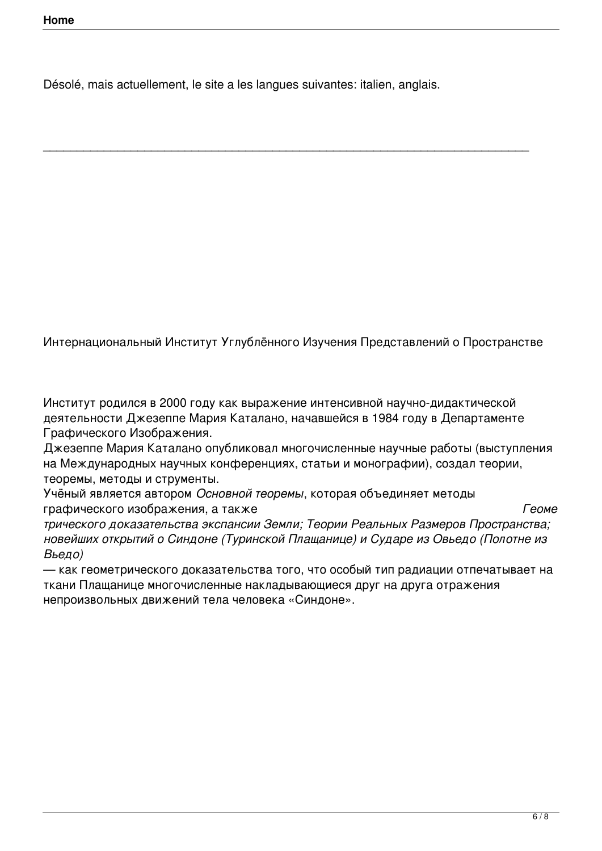Désolé, mais actuellement, le site a les langues suivantes: italien, anglais.

Интернациональный Институт Углублённого Изучения Представлений о Пространстве

\_\_\_\_\_\_\_\_\_\_\_\_\_\_\_\_\_\_\_\_\_\_\_\_\_\_\_\_\_\_\_\_\_\_\_\_\_\_\_\_\_\_\_\_\_\_\_\_\_\_\_\_\_\_\_\_\_\_\_\_\_\_\_\_\_\_\_\_\_\_\_\_

Институт родился в 2000 году как выражение интенсивной научно-дидактической деятельности Джезеппе Мария Каталано, начавшейся в 1984 году в Департаменте Графического Изображения.

Джезеппе Мария Каталано опубликовал многочисленные научные работы (выступления на Международных научных конференциях, статьи и монографии), создал теории, теоремы, методы и струменты.

Учёный является автором *Основной теоремы*, которая объединяет методы графического изображения, а также *Геоме*

*трического доказательства экспансии Земли; Теории Реальных Размеров Пространства; новейших открытий о Синдоне (Туринской Плащанице) и Сударе из Овьедо (Полотне из Вьедо)*

— как геометрического доказательства того, что особый тип радиации отпечатывает на ткани Плащанице многочисленные накладывающиеся друг на друга отражения непроизвольных движений тела человека «Синдоне».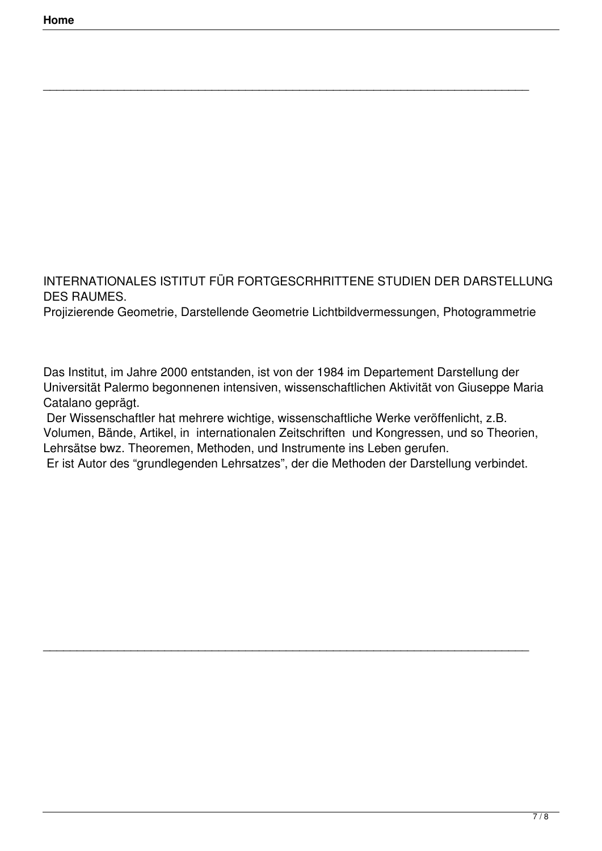INTERNATIONALES ISTITUT FÜR FORTGESCRHRITTENE STUDIEN DER DARSTELLUNG DES RAUMES.

Projizierende Geometrie, Darstellende Geometrie Lichtbildvermessungen, Photogrammetrie

\_\_\_\_\_\_\_\_\_\_\_\_\_\_\_\_\_\_\_\_\_\_\_\_\_\_\_\_\_\_\_\_\_\_\_\_\_\_\_\_\_\_\_\_\_\_\_\_\_\_\_\_\_\_\_\_\_\_\_\_\_\_\_\_\_\_\_\_\_\_\_\_

Das Institut, im Jahre 2000 entstanden, ist von der 1984 im Departement Darstellung der Universität Palermo begonnenen intensiven, wissenschaftlichen Aktivität von Giuseppe Maria Catalano geprägt.

 Der Wissenschaftler hat mehrere wichtige, wissenschaftliche Werke veröffenlicht, z.B. Volumen, Bände, Artikel, in internationalen Zeitschriften und Kongressen, und so Theorien, Lehrsätse bwz. Theoremen, Methoden, und Instrumente ins Leben gerufen.

Er ist Autor des "grundlegenden Lehrsatzes", der die Methoden der Darstellung verbindet.

\_\_\_\_\_\_\_\_\_\_\_\_\_\_\_\_\_\_\_\_\_\_\_\_\_\_\_\_\_\_\_\_\_\_\_\_\_\_\_\_\_\_\_\_\_\_\_\_\_\_\_\_\_\_\_\_\_\_\_\_\_\_\_\_\_\_\_\_\_\_\_\_